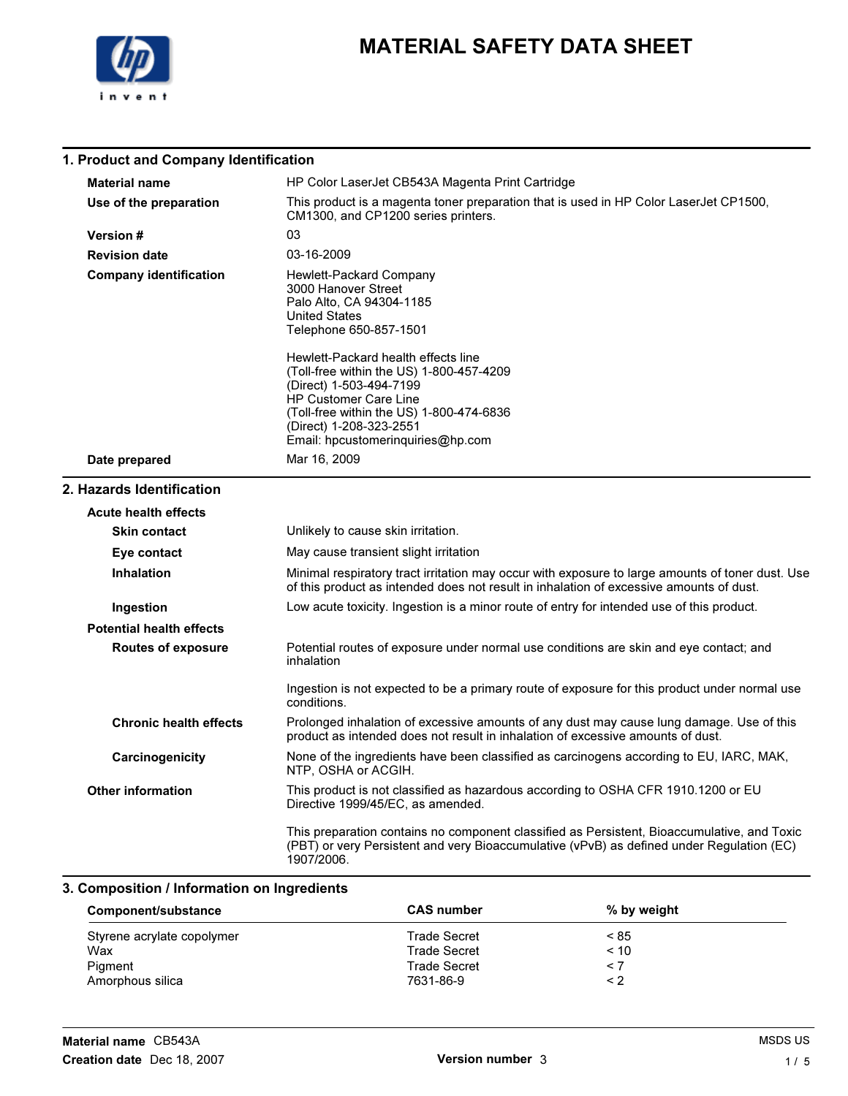

# MATERIAL SAFETY DATA SHEET

### 1. Product and Company Identification

| <b>Material name</b>            | HP Color LaserJet CB543A Magenta Print Cartridge                                                                                                                                                                                                |
|---------------------------------|-------------------------------------------------------------------------------------------------------------------------------------------------------------------------------------------------------------------------------------------------|
| Use of the preparation          | This product is a magenta toner preparation that is used in HP Color LaserJet CP1500,<br>CM1300, and CP1200 series printers.                                                                                                                    |
| <b>Version #</b>                | 03                                                                                                                                                                                                                                              |
| <b>Revision date</b>            | 03-16-2009                                                                                                                                                                                                                                      |
| <b>Company identification</b>   | Hewlett-Packard Company<br>3000 Hanover Street<br>Palo Alto, CA 94304-1185<br><b>United States</b><br>Telephone 650-857-1501                                                                                                                    |
|                                 | Hewlett-Packard health effects line<br>(Toll-free within the US) 1-800-457-4209<br>(Direct) 1-503-494-7199<br>HP Customer Care Line<br>(Toll-free within the US) 1-800-474-6836<br>(Direct) 1-208-323-2551<br>Email: hpcustomeringuiries@hp.com |
| Date prepared                   | Mar 16, 2009                                                                                                                                                                                                                                    |
| 2. Hazards Identification       |                                                                                                                                                                                                                                                 |
| <b>Acute health effects</b>     |                                                                                                                                                                                                                                                 |
| <b>Skin contact</b>             | Unlikely to cause skin irritation.                                                                                                                                                                                                              |
| Eye contact                     | May cause transient slight irritation                                                                                                                                                                                                           |
| <b>Inhalation</b>               | Minimal respiratory tract irritation may occur with exposure to large amounts of toner dust. Use<br>of this product as intended does not result in inhalation of excessive amounts of dust.                                                     |
| Ingestion                       | Low acute toxicity. Ingestion is a minor route of entry for intended use of this product.                                                                                                                                                       |
| <b>Potential health effects</b> |                                                                                                                                                                                                                                                 |
| <b>Routes of exposure</b>       | Potential routes of exposure under normal use conditions are skin and eye contact; and<br>inhalation                                                                                                                                            |
|                                 | Ingestion is not expected to be a primary route of exposure for this product under normal use<br>conditions.                                                                                                                                    |
| <b>Chronic health effects</b>   | Prolonged inhalation of excessive amounts of any dust may cause lung damage. Use of this<br>product as intended does not result in inhalation of excessive amounts of dust.                                                                     |
| Carcinogenicity                 | None of the ingredients have been classified as carcinogens according to EU, IARC, MAK,<br>NTP, OSHA or ACGIH.                                                                                                                                  |
| <b>Other information</b>        | This product is not classified as hazardous according to OSHA CFR 1910.1200 or EU<br>Directive 1999/45/EC, as amended.                                                                                                                          |
|                                 | This preparation contains no component classified as Persistent, Bioaccumulative, and Toxic<br>(PBT) or very Persistent and very Bioaccumulative (vPvB) as defined under Regulation (EC)<br>1907/2006.                                          |

### 3. Composition / Information on Ingredients

| Component/substance        | <b>CAS number</b>   | % by weight |  |
|----------------------------|---------------------|-------------|--|
| Styrene acrylate copolymer | Trade Secret        | ~< 85       |  |
| Wax                        | <b>Trade Secret</b> | $~<$ 10     |  |
| Pigment                    | <b>Trade Secret</b> | $\leq 7$    |  |
| Amorphous silica           | 7631-86-9           | < 2         |  |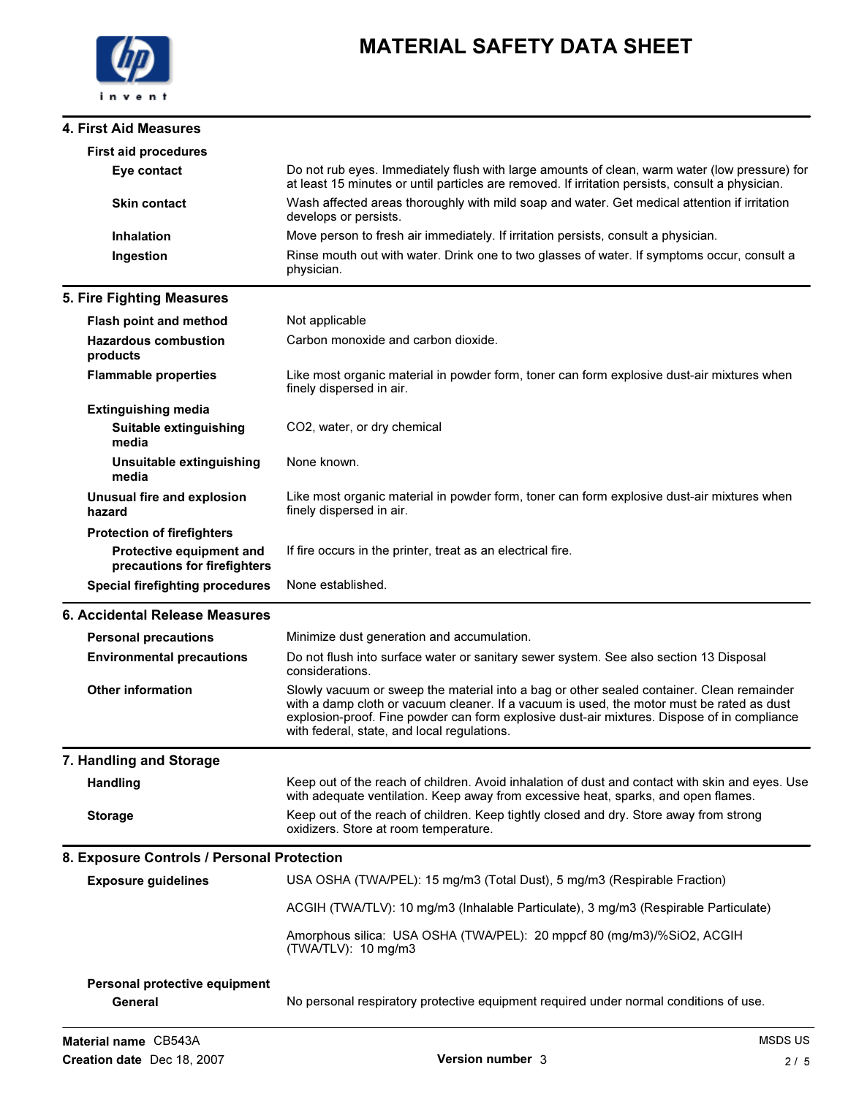#### 4. First Aid Measures

# MATERIAL SAFETY DATA SHEET

| <b>First aid procedures</b>                                              |                                                                                                                                                                                                                                                                                                                                      |
|--------------------------------------------------------------------------|--------------------------------------------------------------------------------------------------------------------------------------------------------------------------------------------------------------------------------------------------------------------------------------------------------------------------------------|
| Eye contact                                                              | Do not rub eyes. Immediately flush with large amounts of clean, warm water (low pressure) for<br>at least 15 minutes or until particles are removed. If irritation persists, consult a physician.                                                                                                                                    |
| <b>Skin contact</b>                                                      | Wash affected areas thoroughly with mild soap and water. Get medical attention if irritation<br>develops or persists.                                                                                                                                                                                                                |
| <b>Inhalation</b>                                                        | Move person to fresh air immediately. If irritation persists, consult a physician.                                                                                                                                                                                                                                                   |
| Ingestion                                                                | Rinse mouth out with water. Drink one to two glasses of water. If symptoms occur, consult a<br>physician.                                                                                                                                                                                                                            |
| 5. Fire Fighting Measures                                                |                                                                                                                                                                                                                                                                                                                                      |
| <b>Flash point and method</b>                                            | Not applicable                                                                                                                                                                                                                                                                                                                       |
| <b>Hazardous combustion</b><br>products                                  | Carbon monoxide and carbon dioxide.                                                                                                                                                                                                                                                                                                  |
| <b>Flammable properties</b>                                              | Like most organic material in powder form, toner can form explosive dust-air mixtures when<br>finely dispersed in air.                                                                                                                                                                                                               |
| <b>Extinguishing media</b>                                               |                                                                                                                                                                                                                                                                                                                                      |
| Suitable extinguishing<br>media                                          | CO2, water, or dry chemical                                                                                                                                                                                                                                                                                                          |
| Unsuitable extinguishing<br>media                                        | None known.                                                                                                                                                                                                                                                                                                                          |
| Unusual fire and explosion<br>hazard                                     | Like most organic material in powder form, toner can form explosive dust-air mixtures when<br>finely dispersed in air.                                                                                                                                                                                                               |
| <b>Protection of firefighters</b>                                        |                                                                                                                                                                                                                                                                                                                                      |
| Protective equipment and<br>precautions for firefighters                 | If fire occurs in the printer, treat as an electrical fire.                                                                                                                                                                                                                                                                          |
|                                                                          |                                                                                                                                                                                                                                                                                                                                      |
| <b>Special firefighting procedures</b>                                   | None established.                                                                                                                                                                                                                                                                                                                    |
| 6. Accidental Release Measures                                           |                                                                                                                                                                                                                                                                                                                                      |
| <b>Personal precautions</b>                                              | Minimize dust generation and accumulation.                                                                                                                                                                                                                                                                                           |
| <b>Environmental precautions</b>                                         | Do not flush into surface water or sanitary sewer system. See also section 13 Disposal<br>considerations.                                                                                                                                                                                                                            |
| <b>Other information</b>                                                 | Slowly vacuum or sweep the material into a bag or other sealed container. Clean remainder<br>with a damp cloth or vacuum cleaner. If a vacuum is used, the motor must be rated as dust<br>explosion-proof. Fine powder can form explosive dust-air mixtures. Dispose of in compliance<br>with federal, state, and local regulations. |
| 7. Handling and Storage                                                  |                                                                                                                                                                                                                                                                                                                                      |
| <b>Handling</b>                                                          | Keep out of the reach of children. Avoid inhalation of dust and contact with skin and eyes. Use<br>with adequate ventilation. Keep away from excessive heat, sparks, and open flames.                                                                                                                                                |
| <b>Storage</b>                                                           | Keep out of the reach of children. Keep tightly closed and dry. Store away from strong<br>oxidizers. Store at room temperature.                                                                                                                                                                                                      |
|                                                                          |                                                                                                                                                                                                                                                                                                                                      |
| 8. Exposure Controls / Personal Protection<br><b>Exposure guidelines</b> | USA OSHA (TWA/PEL): 15 mg/m3 (Total Dust), 5 mg/m3 (Respirable Fraction)                                                                                                                                                                                                                                                             |
|                                                                          | ACGIH (TWA/TLV): 10 mg/m3 (Inhalable Particulate), 3 mg/m3 (Respirable Particulate)                                                                                                                                                                                                                                                  |
|                                                                          | Amorphous silica: USA OSHA (TWA/PEL): 20 mppcf 80 (mg/m3)/%SiO2, ACGIH<br>(TWA/TLV): 10 mg/m3                                                                                                                                                                                                                                        |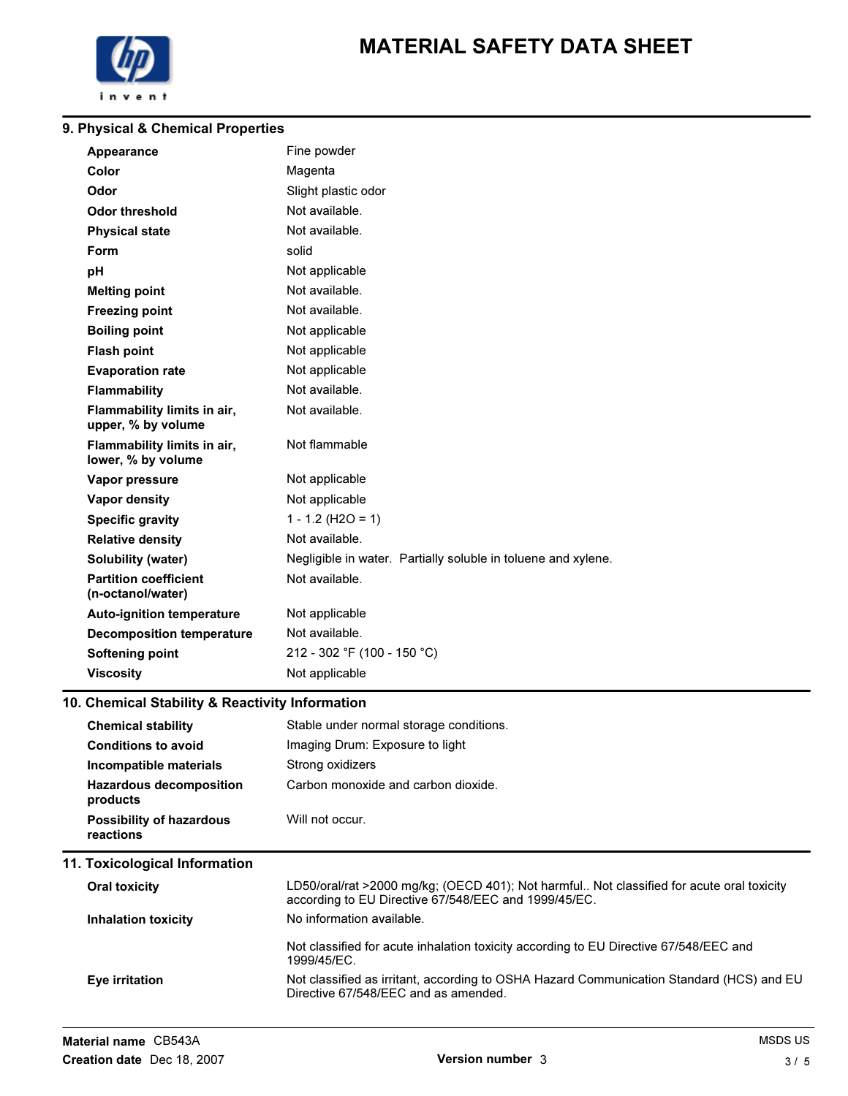

# MATERIAL SAFETY DATA SHEET

#### 9. Physical & Chemical Properties

| Appearance                                        | Fine powder                                                   |
|---------------------------------------------------|---------------------------------------------------------------|
| Color                                             | Magenta                                                       |
| Odor                                              | Slight plastic odor                                           |
| <b>Odor threshold</b>                             | Not available.                                                |
| <b>Physical state</b>                             | Not available.                                                |
| Form                                              | solid                                                         |
| pH                                                | Not applicable                                                |
| <b>Melting point</b>                              | Not available.                                                |
| <b>Freezing point</b>                             | Not available.                                                |
| <b>Boiling point</b>                              | Not applicable                                                |
| <b>Flash point</b>                                | Not applicable                                                |
| <b>Evaporation rate</b>                           | Not applicable                                                |
| <b>Flammability</b>                               | Not available.                                                |
| Flammability limits in air,<br>upper, % by volume | Not available.                                                |
| Flammability limits in air,<br>lower, % by volume | Not flammable                                                 |
| Vapor pressure                                    | Not applicable                                                |
| <b>Vapor density</b>                              | Not applicable                                                |
| <b>Specific gravity</b>                           | $1 - 1.2$ (H2O = 1)                                           |
| <b>Relative density</b>                           | Not available.                                                |
| <b>Solubility (water)</b>                         | Negligible in water. Partially soluble in toluene and xylene. |
| <b>Partition coefficient</b><br>(n-octanol/water) | Not available.                                                |
| <b>Auto-ignition temperature</b>                  | Not applicable                                                |
| <b>Decomposition temperature</b>                  | Not available.                                                |
| <b>Softening point</b>                            | 212 - 302 °F (100 - 150 °C)                                   |
| <b>Viscosity</b>                                  | Not applicable                                                |

### 10. Chemical Stability & Reactivity Information

| Stable under normal storage conditions.                                                                                                           |
|---------------------------------------------------------------------------------------------------------------------------------------------------|
| Imaging Drum: Exposure to light                                                                                                                   |
| Strong oxidizers                                                                                                                                  |
| Carbon monoxide and carbon dioxide.                                                                                                               |
| Will not occur.                                                                                                                                   |
|                                                                                                                                                   |
| LD50/oral/rat >2000 mg/kg; (OECD 401); Not harmful Not classified for acute oral toxicity<br>according to EU Directive 67/548/EEC and 1999/45/EC. |
| No information available.                                                                                                                         |
| Not classified for acute inhalation toxicity according to EU Directive 67/548/EEC and<br>1999/45/EC.                                              |
| Not classified as irritant, according to OSHA Hazard Communication Standard (HCS) and EU<br>Directive 67/548/EEC and as amended.                  |
|                                                                                                                                                   |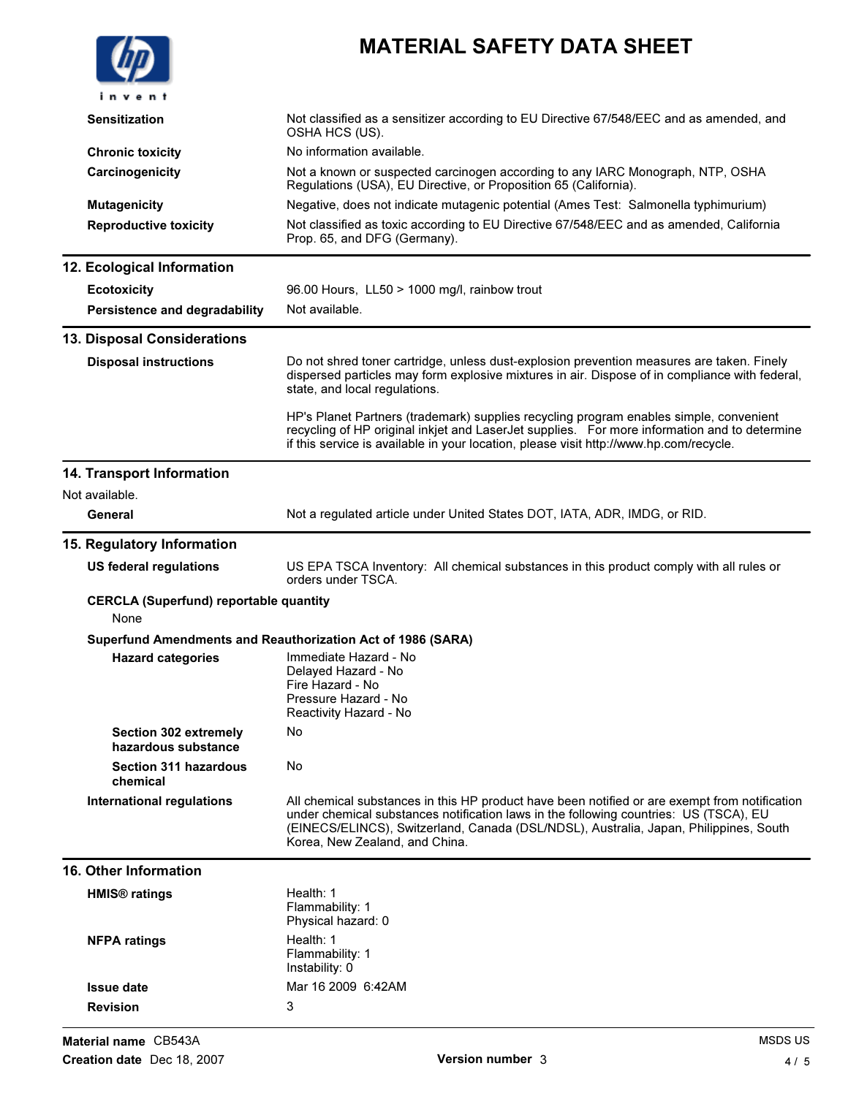|                                                       | <b>MATERIAL SAFETY DATA SHEET</b>                                                                                                                                                                                                                                                                                 |
|-------------------------------------------------------|-------------------------------------------------------------------------------------------------------------------------------------------------------------------------------------------------------------------------------------------------------------------------------------------------------------------|
| invent                                                |                                                                                                                                                                                                                                                                                                                   |
| <b>Sensitization</b>                                  | Not classified as a sensitizer according to EU Directive 67/548/EEC and as amended, and<br>OSHA HCS (US).                                                                                                                                                                                                         |
| <b>Chronic toxicity</b>                               | No information available.                                                                                                                                                                                                                                                                                         |
| Carcinogenicity                                       | Not a known or suspected carcinogen according to any IARC Monograph, NTP, OSHA<br>Regulations (USA), EU Directive, or Proposition 65 (California).                                                                                                                                                                |
| <b>Mutagenicity</b>                                   | Negative, does not indicate mutagenic potential (Ames Test: Salmonella typhimurium)                                                                                                                                                                                                                               |
| <b>Reproductive toxicity</b>                          | Not classified as toxic according to EU Directive 67/548/EEC and as amended, California<br>Prop. 65, and DFG (Germany).                                                                                                                                                                                           |
| 12. Ecological Information                            |                                                                                                                                                                                                                                                                                                                   |
| <b>Ecotoxicity</b>                                    | 96.00 Hours, LL50 > 1000 mg/l, rainbow trout                                                                                                                                                                                                                                                                      |
| Persistence and degradability                         | Not available.                                                                                                                                                                                                                                                                                                    |
| 13. Disposal Considerations                           |                                                                                                                                                                                                                                                                                                                   |
| <b>Disposal instructions</b>                          | Do not shred toner cartridge, unless dust-explosion prevention measures are taken. Finely<br>dispersed particles may form explosive mixtures in air. Dispose of in compliance with federal,<br>state, and local regulations.                                                                                      |
|                                                       | HP's Planet Partners (trademark) supplies recycling program enables simple, convenient<br>recycling of HP original inkjet and LaserJet supplies. For more information and to determine<br>if this service is available in your location, please visit http://www.hp.com/recycle.                                  |
| 14. Transport Information                             |                                                                                                                                                                                                                                                                                                                   |
| Not available.                                        |                                                                                                                                                                                                                                                                                                                   |
| General                                               | Not a regulated article under United States DOT, IATA, ADR, IMDG, or RID.                                                                                                                                                                                                                                         |
| 15. Regulatory Information                            |                                                                                                                                                                                                                                                                                                                   |
| <b>US federal regulations</b>                         | US EPA TSCA Inventory: All chemical substances in this product comply with all rules or<br>orders under TSCA.                                                                                                                                                                                                     |
| <b>CERCLA (Superfund) reportable quantity</b><br>None |                                                                                                                                                                                                                                                                                                                   |
|                                                       | Superfund Amendments and Reauthorization Act of 1986 (SARA)                                                                                                                                                                                                                                                       |
| <b>Hazard categories</b>                              | Immediate Hazard - No<br>Delayed Hazard - No<br>Fire Hazard - No<br>Pressure Hazard - No<br>Reactivity Hazard - No                                                                                                                                                                                                |
| <b>Section 302 extremely</b><br>hazardous substance   | No                                                                                                                                                                                                                                                                                                                |
| <b>Section 311 hazardous</b><br>chemical              | No                                                                                                                                                                                                                                                                                                                |
| <b>International regulations</b>                      | All chemical substances in this HP product have been notified or are exempt from notification<br>under chemical substances notification laws in the following countries: US (TSCA), EU<br>(EINECS/ELINCS), Switzerland, Canada (DSL/NDSL), Australia, Japan, Philippines, South<br>Korea, New Zealand, and China. |
| <b>16. Other Information</b>                          |                                                                                                                                                                                                                                                                                                                   |
| <b>HMIS<sup>®</sup></b> ratings                       | Health: 1<br>Flammability: 1<br>Physical hazard: 0                                                                                                                                                                                                                                                                |
| <b>NFPA ratings</b>                                   | Health: 1<br>Flammability: 1<br>Instability: 0                                                                                                                                                                                                                                                                    |
| <b>Issue date</b>                                     | Mar 16 2009 6:42AM                                                                                                                                                                                                                                                                                                |
| <b>Revision</b>                                       | 3                                                                                                                                                                                                                                                                                                                 |
|                                                       |                                                                                                                                                                                                                                                                                                                   |